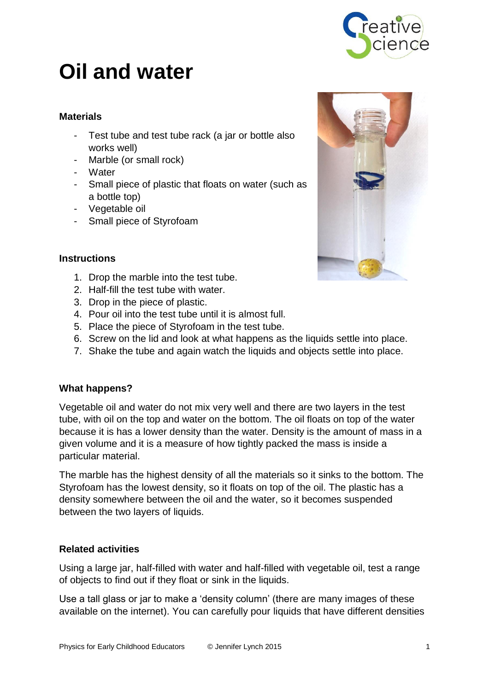

# **Oil and water**

## **Materials**

- Test tube and test tube rack (a jar or bottle also works well)
- Marble (or small rock)
- Water
- Small piece of plastic that floats on water (such as a bottle top)
- Vegetable oil
- Small piece of Styrofoam



### **Instructions**

- 1. Drop the marble into the test tube.
- 2. Half-fill the test tube with water.
- 3. Drop in the piece of plastic.
- 4. Pour oil into the test tube until it is almost full.
- 5. Place the piece of Styrofoam in the test tube.
- 6. Screw on the lid and look at what happens as the liquids settle into place.
- 7. Shake the tube and again watch the liquids and objects settle into place.

#### **What happens?**

Vegetable oil and water do not mix very well and there are two layers in the test tube, with oil on the top and water on the bottom. The oil floats on top of the water because it is has a lower density than the water. Density is the amount of mass in a given volume and it is a measure of how tightly packed the mass is inside a particular material.

The marble has the highest density of all the materials so it sinks to the bottom. The Styrofoam has the lowest density, so it floats on top of the oil. The plastic has a density somewhere between the oil and the water, so it becomes suspended between the two layers of liquids.

#### **Related activities**

Using a large jar, half-filled with water and half-filled with vegetable oil, test a range of objects to find out if they float or sink in the liquids.

Use a tall glass or jar to make a 'density column' (there are many images of these available on the internet). You can carefully pour liquids that have different densities